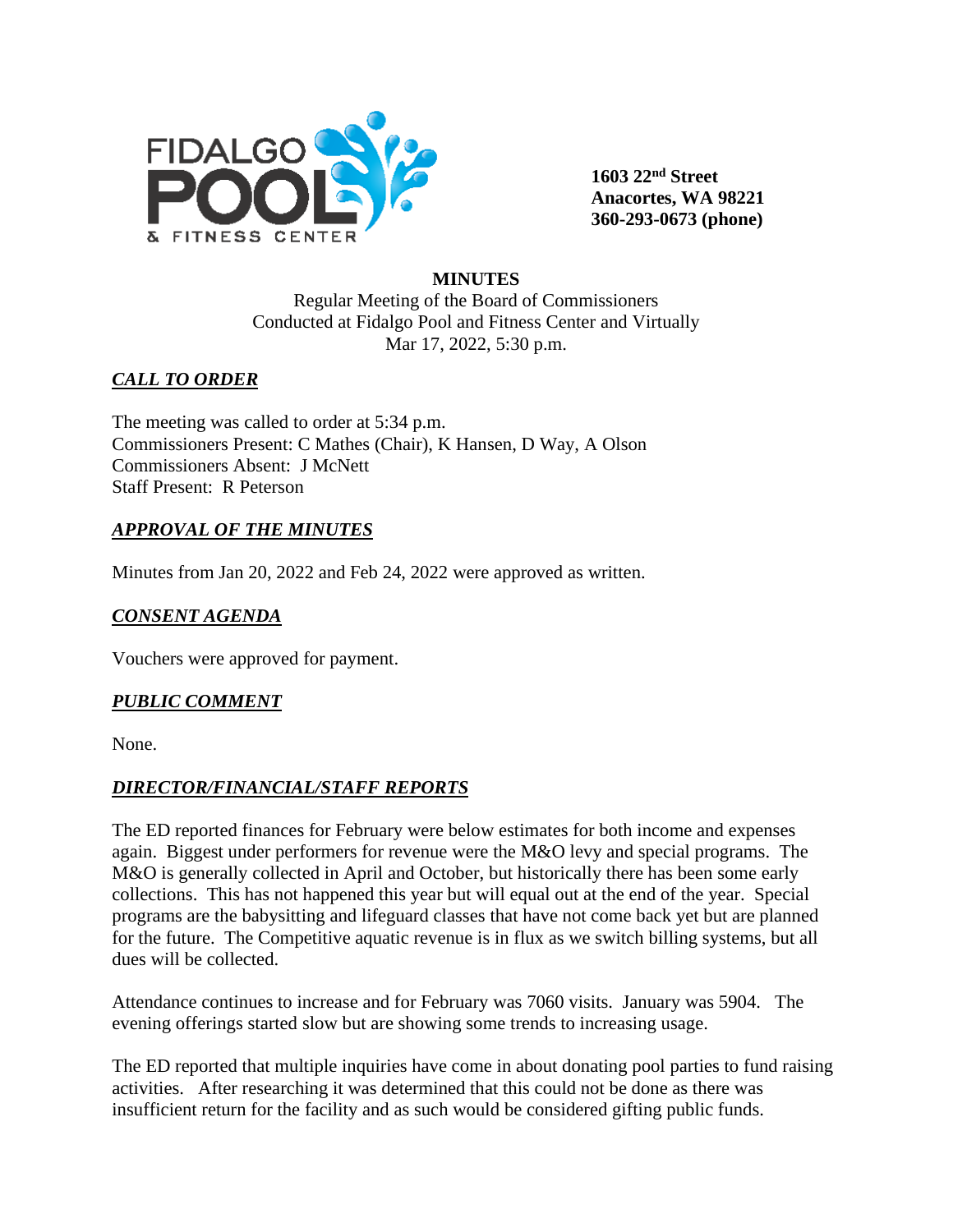

**1603 22nd Street Anacortes, WA 98221 360-293-0673 (phone)** 

### **MINUTES**

Regular Meeting of the Board of Commissioners Conducted at Fidalgo Pool and Fitness Center and Virtually Mar 17, 2022, 5:30 p.m.

# *CALL TO ORDER*

The meeting was called to order at 5:34 p.m. Commissioners Present: C Mathes (Chair), K Hansen, D Way, A Olson Commissioners Absent: J McNett Staff Present: R Peterson

## *APPROVAL OF THE MINUTES*

Minutes from Jan 20, 2022 and Feb 24, 2022 were approved as written.

## *CONSENT AGENDA*

Vouchers were approved for payment.

#### *PUBLIC COMMENT*

None.

#### *DIRECTOR/FINANCIAL/STAFF REPORTS*

The ED reported finances for February were below estimates for both income and expenses again. Biggest under performers for revenue were the M&O levy and special programs. The M&O is generally collected in April and October, but historically there has been some early collections. This has not happened this year but will equal out at the end of the year. Special programs are the babysitting and lifeguard classes that have not come back yet but are planned for the future. The Competitive aquatic revenue is in flux as we switch billing systems, but all dues will be collected.

Attendance continues to increase and for February was 7060 visits. January was 5904. The evening offerings started slow but are showing some trends to increasing usage.

The ED reported that multiple inquiries have come in about donating pool parties to fund raising activities. After researching it was determined that this could not be done as there was insufficient return for the facility and as such would be considered gifting public funds.